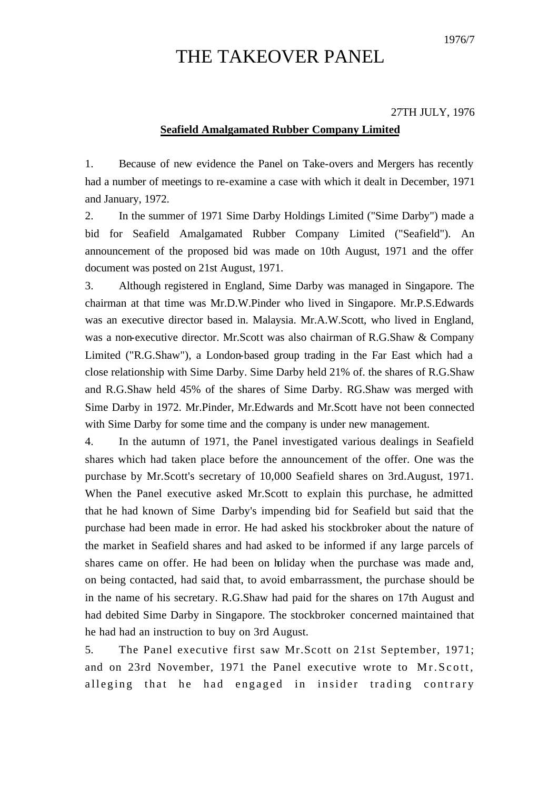## THE TAKEOVER PANEL

## 27TH JULY, 1976

## **Seafield Amalgamated Rubber Company Limited**

1. Because of new evidence the Panel on Take-overs and Mergers has recently had a number of meetings to re-examine a case with which it dealt in December, 1971 and January, 1972.

2. In the summer of 1971 Sime Darby Holdings Limited ("Sime Darby") made a bid for Seafield Amalgamated Rubber Company Limited ("Seafield"). An announcement of the proposed bid was made on 10th August, 1971 and the offer document was posted on 21st August, 1971.

3. Although registered in England, Sime Darby was managed in Singapore. The chairman at that time was Mr.D.W.Pinder who lived in Singapore. Mr.P.S.Edwards was an executive director based in. Malaysia. Mr.A.W.Scott, who lived in England, was a non-executive director. Mr.Scott was also chairman of R.G.Shaw & Company Limited ("R.G.Shaw"), a London-based group trading in the Far East which had a close relationship with Sime Darby. Sime Darby held 21% of. the shares of R.G.Shaw and R.G.Shaw held 45% of the shares of Sime Darby. RG.Shaw was merged with Sime Darby in 1972. Mr.Pinder, Mr.Edwards and Mr.Scott have not been connected with Sime Darby for some time and the company is under new management.

4. In the autumn of 1971, the Panel investigated various dealings in Seafield shares which had taken place before the announcement of the offer. One was the purchase by Mr.Scott's secretary of 10,000 Seafield shares on 3rd.August, 1971. When the Panel executive asked Mr.Scott to explain this purchase, he admitted that he had known of Sime Darby's impending bid for Seafield but said that the purchase had been made in error. He had asked his stockbroker about the nature of the market in Seafield shares and had asked to be informed if any large parcels of shares came on offer. He had been on holiday when the purchase was made and, on being contacted, had said that, to avoid embarrassment, the purchase should be in the name of his secretary. R.G.Shaw had paid for the shares on 17th August and had debited Sime Darby in Singapore. The stockbroker concerned maintained that he had had an instruction to buy on 3rd August.

5. The Panel executive first saw Mr.Scott on 21st September, 1971; and on 23rd November, 1971 the Panel executive wrote to Mr.Scott, alleging that he had engaged in insider trading contrary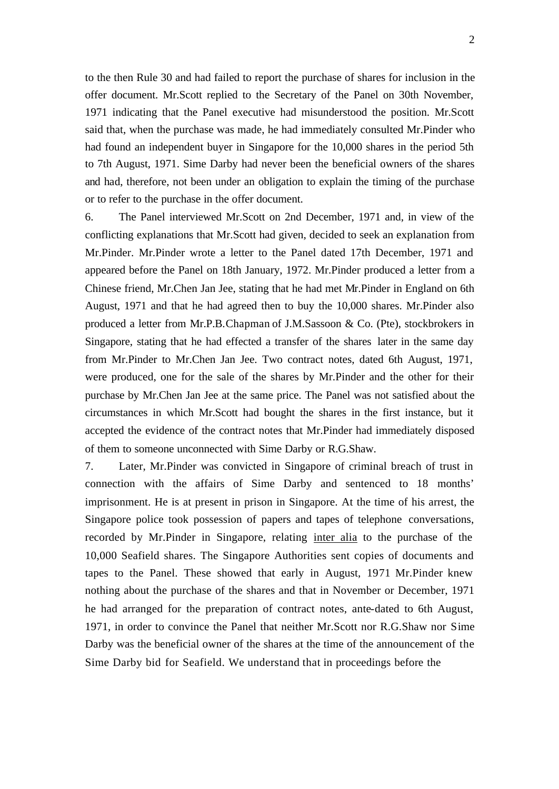to the then Rule 30 and had failed to report the purchase of shares for inclusion in the offer document. Mr.Scott replied to the Secretary of the Panel on 30th November, 1971 indicating that the Panel executive had misunderstood the position. Mr.Scott said that, when the purchase was made, he had immediately consulted Mr.Pinder who had found an independent buyer in Singapore for the 10,000 shares in the period 5th to 7th August, 1971. Sime Darby had never been the beneficial owners of the shares and had, therefore, not been under an obligation to explain the timing of the purchase or to refer to the purchase in the offer document.

6. The Panel interviewed Mr.Scott on 2nd December, 1971 and, in view of the conflicting explanations that Mr.Scott had given, decided to seek an explanation from Mr.Pinder. Mr.Pinder wrote a letter to the Panel dated 17th December, 1971 and appeared before the Panel on 18th January, 1972. Mr.Pinder produced a letter from a Chinese friend, Mr.Chen Jan Jee, stating that he had met Mr.Pinder in England on 6th August, 1971 and that he had agreed then to buy the 10,000 shares. Mr.Pinder also produced a letter from Mr.P.B.Chapman of J.M.Sassoon & Co. (Pte), stockbrokers in Singapore, stating that he had effected a transfer of the shares later in the same day from Mr.Pinder to Mr.Chen Jan Jee. Two contract notes, dated 6th August, 1971, were produced, one for the sale of the shares by Mr.Pinder and the other for their purchase by Mr.Chen Jan Jee at the same price. The Panel was not satisfied about the circumstances in which Mr.Scott had bought the shares in the first instance, but it accepted the evidence of the contract notes that Mr.Pinder had immediately disposed of them to someone unconnected with Sime Darby or R.G.Shaw.

7. Later, Mr.Pinder was convicted in Singapore of criminal breach of trust in connection with the affairs of Sime Darby and sentenced to 18 months' imprisonment. He is at present in prison in Singapore. At the time of his arrest, the Singapore police took possession of papers and tapes of telephone conversations, recorded by Mr.Pinder in Singapore, relating inter alia to the purchase of the 10,000 Seafield shares. The Singapore Authorities sent copies of documents and tapes to the Panel. These showed that early in August, 1971 Mr.Pinder knew nothing about the purchase of the shares and that in November or December, 1971 he had arranged for the preparation of contract notes, ante-dated to 6th August, 1971, in order to convince the Panel that neither Mr.Scott nor R.G.Shaw nor Sime Darby was the beneficial owner of the shares at the time of the announcement of the Sime Darby bid for Seafield. We understand that in proceedings before the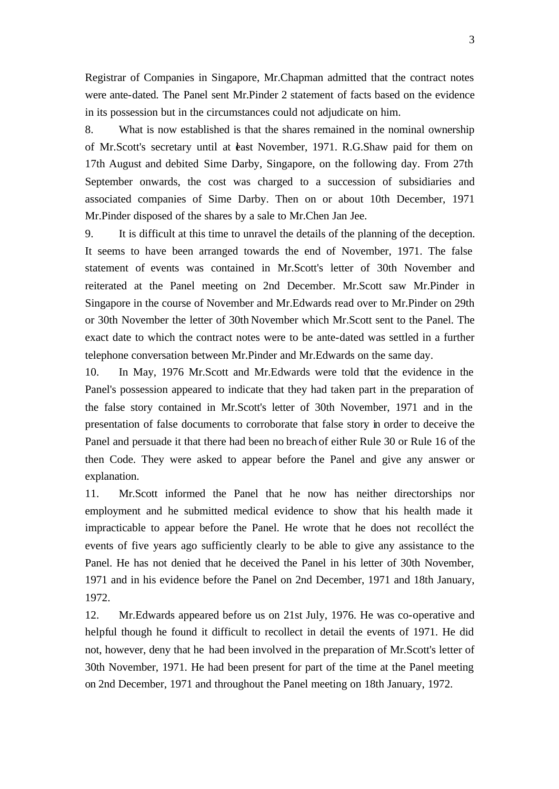Registrar of Companies in Singapore, Mr.Chapman admitted that the contract notes were ante-dated. The Panel sent Mr.Pinder 2 statement of facts based on the evidence in its possession but in the circumstances could not adjudicate on him.

8. What is now established is that the shares remained in the nominal ownership of Mr.Scott's secretary until at *teast November*, 1971. R.G.Shaw paid for them on 17th August and debited Sime Darby, Singapore, on the following day. From 27th September onwards, the cost was charged to a succession of subsidiaries and associated companies of Sime Darby. Then on or about 10th December, 1971 Mr.Pinder disposed of the shares by a sale to Mr.Chen Jan Jee.

9. It is difficult at this time to unravel the details of the planning of the deception. It seems to have been arranged towards the end of November, 1971. The false statement of events was contained in Mr.Scott's letter of 30th November and reiterated at the Panel meeting on 2nd December. Mr.Scott saw Mr.Pinder in Singapore in the course of November and Mr.Edwards read over to Mr.Pinder on 29th or 30th November the letter of 30th November which Mr.Scott sent to the Panel. The exact date to which the contract notes were to be ante-dated was settled in a further telephone conversation between Mr.Pinder and Mr.Edwards on the same day.

10. In May, 1976 Mr.Scott and Mr.Edwards were told that the evidence in the Panel's possession appeared to indicate that they had taken part in the preparation of the false story contained in Mr.Scott's letter of 30th November, 1971 and in the presentation of false documents to corroborate that false story in order to deceive the Panel and persuade it that there had been no breach of either Rule 30 or Rule 16 of the then Code. They were asked to appear before the Panel and give any answer or explanation.

11. Mr.Scott informed the Panel that he now has neither directorships nor employment and he submitted medical evidence to show that his health made it impracticable to appear before the Panel. He wrote that he does not recolléct the events of five years ago sufficiently clearly to be able to give any assistance to the Panel. He has not denied that he deceived the Panel in his letter of 30th November, 1971 and in his evidence before the Panel on 2nd December, 1971 and 18th January, 1972.

12. Mr.Edwards appeared before us on 21st July, 1976. He was co-operative and helpful though he found it difficult to recollect in detail the events of 1971. He did not, however, deny that he had been involved in the preparation of Mr.Scott's letter of 30th November, 1971. He had been present for part of the time at the Panel meeting on 2nd December, 1971 and throughout the Panel meeting on 18th January, 1972.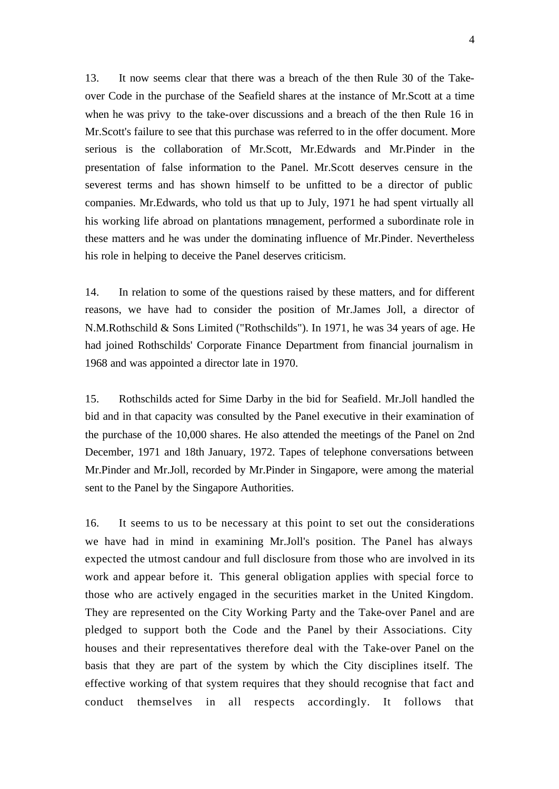13. It now seems clear that there was a breach of the then Rule 30 of the Takeover Code in the purchase of the Seafield shares at the instance of Mr.Scott at a time when he was privy to the take-over discussions and a breach of the then Rule 16 in Mr.Scott's failure to see that this purchase was referred to in the offer document. More serious is the collaboration of Mr.Scott, Mr.Edwards and Mr.Pinder in the presentation of false information to the Panel. Mr.Scott deserves censure in the severest terms and has shown himself to be unfitted to be a director of public companies. Mr.Edwards, who told us that up to July, 1971 he had spent virtually all his working life abroad on plantations management, performed a subordinate role in these matters and he was under the dominating influence of Mr.Pinder. Nevertheless his role in helping to deceive the Panel deserves criticism.

14. In relation to some of the questions raised by these matters, and for different reasons, we have had to consider the position of Mr.James Joll, a director of N.M.Rothschild & Sons Limited ("Rothschilds"). In 1971, he was 34 years of age. He had joined Rothschilds' Corporate Finance Department from financial journalism in 1968 and was appointed a director late in 1970.

15. Rothschilds acted for Sime Darby in the bid for Seafield. Mr.Joll handled the bid and in that capacity was consulted by the Panel executive in their examination of the purchase of the 10,000 shares. He also attended the meetings of the Panel on 2nd December, 1971 and 18th January, 1972. Tapes of telephone conversations between Mr.Pinder and Mr.Joll, recorded by Mr.Pinder in Singapore, were among the material sent to the Panel by the Singapore Authorities.

16. It seems to us to be necessary at this point to set out the considerations we have had in mind in examining Mr.Joll's position. The Panel has always expected the utmost candour and full disclosure from those who are involved in its work and appear before it. This general obligation applies with special force to those who are actively engaged in the securities market in the United Kingdom. They are represented on the City Working Party and the Take-over Panel and are pledged to support both the Code and the Panel by their Associations. City houses and their representatives therefore deal with the Take-over Panel on the basis that they are part of the system by which the City disciplines itself. The effective working of that system requires that they should recognise that fact and conduct themselves in all respects accordingly. It follows that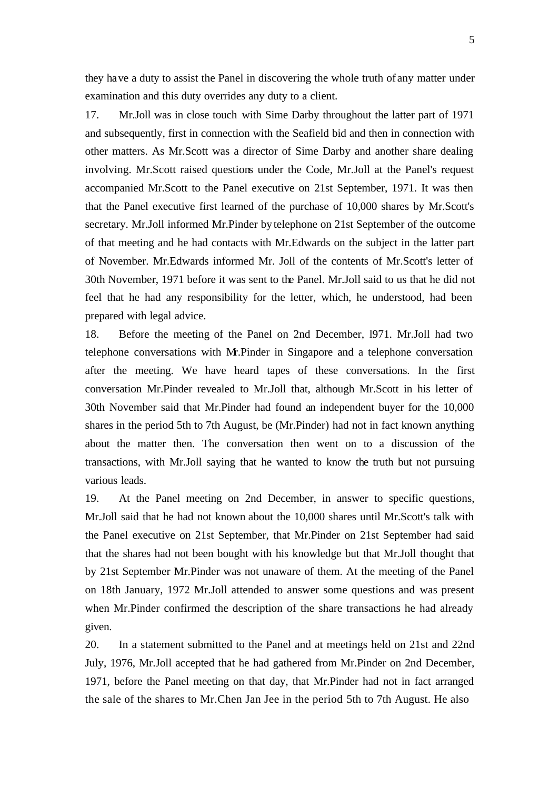they have a duty to assist the Panel in discovering the whole truth of any matter under examination and this duty overrides any duty to a client.

17. Mr.Joll was in close touch with Sime Darby throughout the latter part of 1971 and subsequently, first in connection with the Seafield bid and then in connection with other matters. As Mr.Scott was a director of Sime Darby and another share dealing involving. Mr.Scott raised questions under the Code, Mr.Joll at the Panel's request accompanied Mr.Scott to the Panel executive on 21st September, 1971. It was then that the Panel executive first learned of the purchase of 10,000 shares by Mr.Scott's secretary. Mr.Joll informed Mr.Pinder by telephone on 21st September of the outcome of that meeting and he had contacts with Mr.Edwards on the subject in the latter part of November. Mr.Edwards informed Mr. Joll of the contents of Mr.Scott's letter of 30th November, 1971 before it was sent to the Panel. Mr.Joll said to us that he did not feel that he had any responsibility for the letter, which, he understood, had been prepared with legal advice.

18. Before the meeting of the Panel on 2nd December, l971. Mr.Joll had two telephone conversations with Mr.Pinder in Singapore and a telephone conversation after the meeting. We have heard tapes of these conversations. In the first conversation Mr.Pinder revealed to Mr.Joll that, although Mr.Scott in his letter of 30th November said that Mr.Pinder had found an independent buyer for the 10,000 shares in the period 5th to 7th August, be (Mr.Pinder) had not in fact known anything about the matter then. The conversation then went on to a discussion of the transactions, with Mr.Joll saying that he wanted to know the truth but not pursuing various leads.

19. At the Panel meeting on 2nd December, in answer to specific questions, Mr.Joll said that he had not known about the 10,000 shares until Mr.Scott's talk with the Panel executive on 21st September, that Mr.Pinder on 21st September had said that the shares had not been bought with his knowledge but that Mr.Joll thought that by 21st September Mr.Pinder was not unaware of them. At the meeting of the Panel on 18th January, 1972 Mr.Joll attended to answer some questions and was present when Mr.Pinder confirmed the description of the share transactions he had already given.

20. In a statement submitted to the Panel and at meetings held on 21st and 22nd July, 1976, Mr.Joll accepted that he had gathered from Mr.Pinder on 2nd December, 1971, before the Panel meeting on that day, that Mr.Pinder had not in fact arranged the sale of the shares to Mr.Chen Jan Jee in the period 5th to 7th August. He also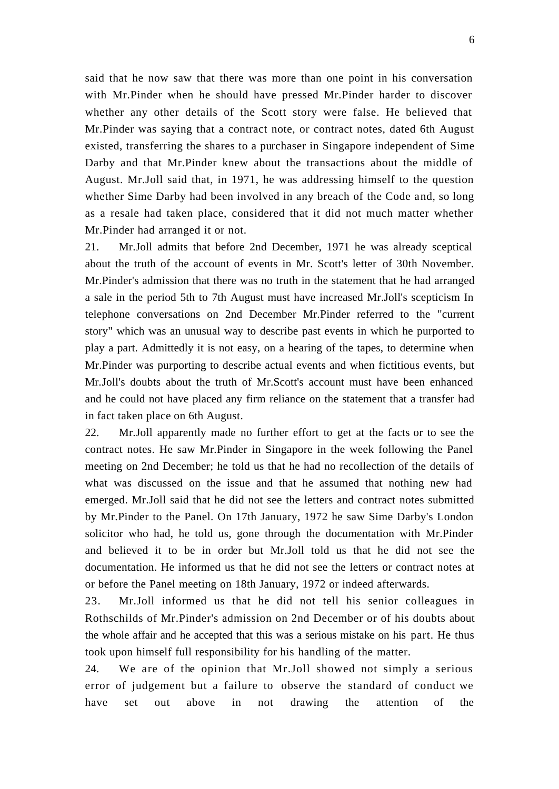said that he now saw that there was more than one point in his conversation with Mr.Pinder when he should have pressed Mr.Pinder harder to discover whether any other details of the Scott story were false. He believed that Mr.Pinder was saying that a contract note, or contract notes, dated 6th August existed, transferring the shares to a purchaser in Singapore independent of Sime Darby and that Mr.Pinder knew about the transactions about the middle of August. Mr.Joll said that, in 1971, he was addressing himself to the question whether Sime Darby had been involved in any breach of the Code and, so long as a resale had taken place, considered that it did not much matter whether Mr.Pinder had arranged it or not.

21. Mr.Joll admits that before 2nd December, 1971 he was already sceptical about the truth of the account of events in Mr. Scott's letter of 30th November. Mr.Pinder's admission that there was no truth in the statement that he had arranged a sale in the period 5th to 7th August must have increased Mr.Joll's scepticism In telephone conversations on 2nd December Mr.Pinder referred to the "current story" which was an unusual way to describe past events in which he purported to play a part. Admittedly it is not easy, on a hearing of the tapes, to determine when Mr.Pinder was purporting to describe actual events and when fictitious events, but Mr.Joll's doubts about the truth of Mr.Scott's account must have been enhanced and he could not have placed any firm reliance on the statement that a transfer had in fact taken place on 6th August.

22. Mr.Joll apparently made no further effort to get at the facts or to see the contract notes. He saw Mr.Pinder in Singapore in the week following the Panel meeting on 2nd December; he told us that he had no recollection of the details of what was discussed on the issue and that he assumed that nothing new had emerged. Mr.Joll said that he did not see the letters and contract notes submitted by Mr.Pinder to the Panel. On 17th January, 1972 he saw Sime Darby's London solicitor who had, he told us, gone through the documentation with Mr.Pinder and believed it to be in order but Mr.Joll told us that he did not see the documentation. He informed us that he did not see the letters or contract notes at or before the Panel meeting on 18th January, 1972 or indeed afterwards.

23. Mr.Joll informed us that he did not tell his senior colleagues in Rothschilds of Mr.Pinder's admission on 2nd December or of his doubts about the whole affair and he accepted that this was a serious mistake on his part. He thus took upon himself full responsibility for his handling of the matter.

24. We are of the opinion that Mr.Joll showed not simply a serious error of judgement but a failure to observe the standard of conduct we have set out above in not drawing the attention of the